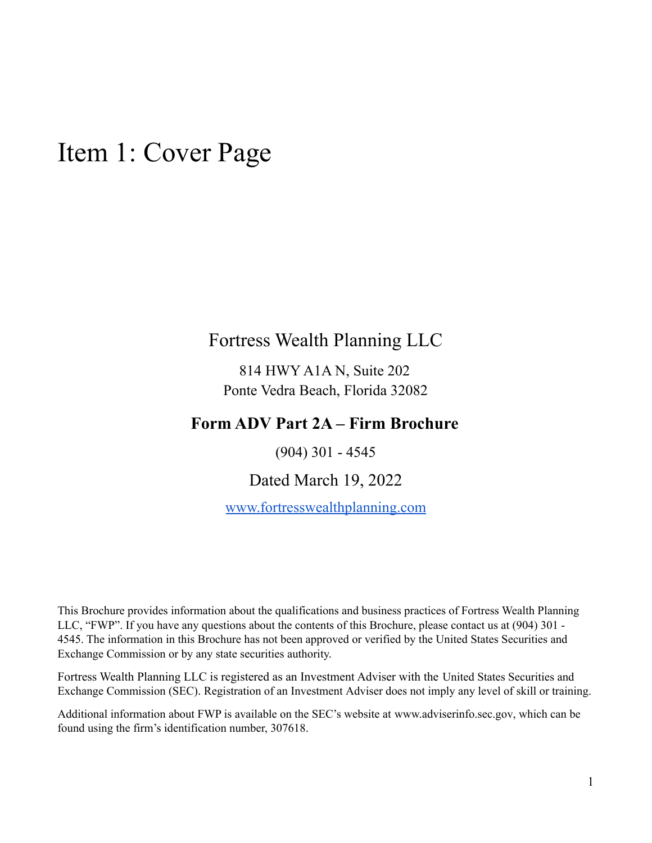## <span id="page-0-0"></span>Item 1: Cover Page

### Fortress Wealth Planning LLC

814 HWY A1A N, Suite 202 Ponte Vedra Beach, Florida 32082

### **Form ADV Part 2A – Firm Brochure**

(904) 301 - 4545

Dated March 19, 2022

[www.fortresswealthplanning.com](http://www.fortresswealthplanning.com)

This Brochure provides information about the qualifications and business practices of Fortress Wealth Planning LLC, "FWP". If you have any questions about the contents of this Brochure, please contact us at (904) 301 - 4545. The information in this Brochure has not been approved or verified by the United States Securities and Exchange Commission or by any state securities authority.

Fortress Wealth Planning LLC is registered as an Investment Adviser with the United States Securities and Exchange Commission (SEC). Registration of an Investment Adviser does not imply any level of skill or training.

Additional information about FWP is available on the SEC's website at [www.adviserinfo.sec.gov,](http://www.adviserinfo.sec.gov) which can be found using the firm's identification number, 307618.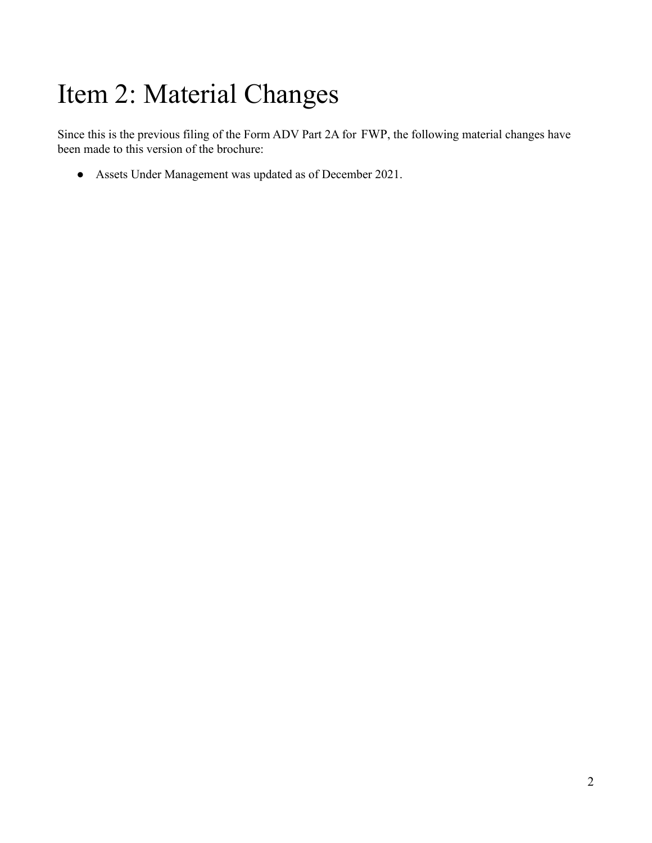# <span id="page-1-0"></span>Item 2: Material Changes

Since this is the previous filing of the Form ADV Part 2A for FWP, the following material changes have been made to this version of the brochure:

● Assets Under Management was updated as of December 2021.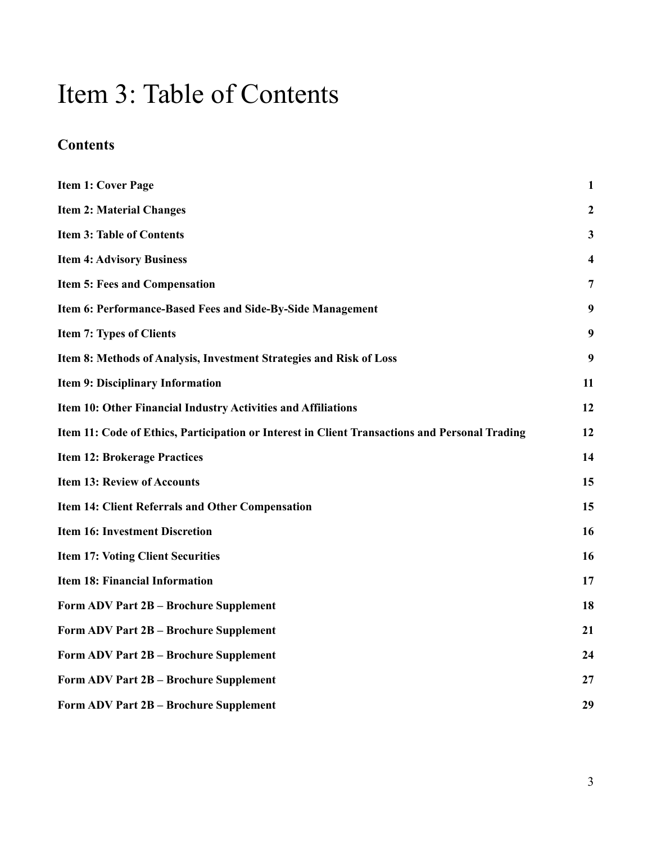## <span id="page-2-0"></span>Item 3: Table of Contents

### **Contents**

| <b>Item 1: Cover Page</b>                                                                      | $\mathbf{1}$            |
|------------------------------------------------------------------------------------------------|-------------------------|
| <b>Item 2: Material Changes</b>                                                                | $\boldsymbol{2}$        |
| <b>Item 3: Table of Contents</b>                                                               | $\mathbf{3}$            |
| <b>Item 4: Advisory Business</b>                                                               | $\overline{\mathbf{4}}$ |
| <b>Item 5: Fees and Compensation</b>                                                           | 7                       |
| Item 6: Performance-Based Fees and Side-By-Side Management                                     | 9                       |
| <b>Item 7: Types of Clients</b>                                                                | 9                       |
| Item 8: Methods of Analysis, Investment Strategies and Risk of Loss                            | 9                       |
| <b>Item 9: Disciplinary Information</b>                                                        | 11                      |
| Item 10: Other Financial Industry Activities and Affiliations                                  | 12                      |
| Item 11: Code of Ethics, Participation or Interest in Client Transactions and Personal Trading | 12                      |
| <b>Item 12: Brokerage Practices</b>                                                            | 14                      |
| <b>Item 13: Review of Accounts</b>                                                             | 15                      |
| Item 14: Client Referrals and Other Compensation                                               | 15                      |
| <b>Item 16: Investment Discretion</b>                                                          | 16                      |
| <b>Item 17: Voting Client Securities</b>                                                       | 16                      |
| <b>Item 18: Financial Information</b>                                                          | 17                      |
| Form ADV Part 2B - Brochure Supplement                                                         | 18                      |
| Form ADV Part 2B - Brochure Supplement                                                         | 21                      |
| Form ADV Part 2B - Brochure Supplement                                                         | 24                      |
| Form ADV Part 2B - Brochure Supplement                                                         | 27                      |
| Form ADV Part 2B - Brochure Supplement                                                         | 29                      |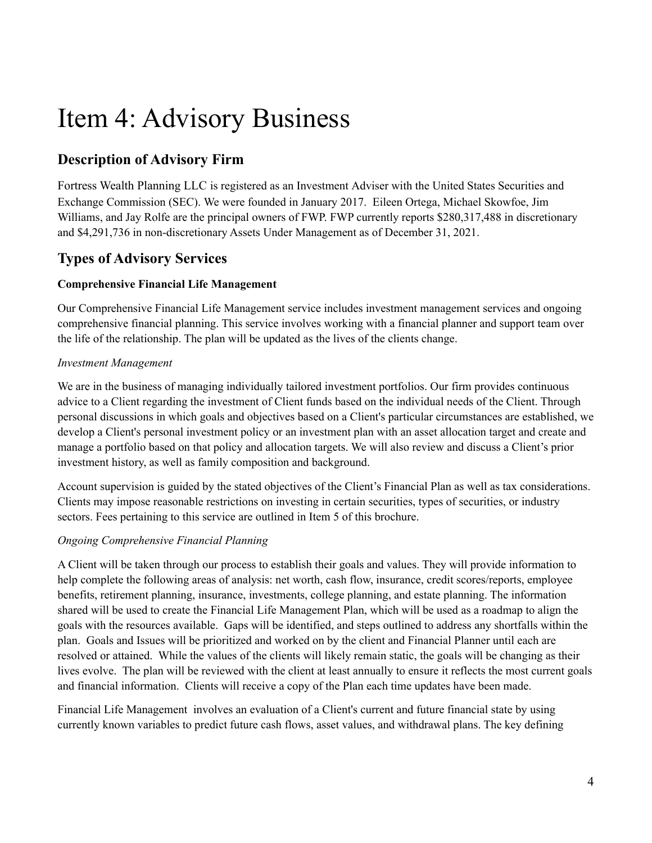## <span id="page-3-0"></span>Item 4: Advisory Business

### **Description of Advisory Firm**

Fortress Wealth Planning LLC is registered as an Investment Adviser with the United States Securities and Exchange Commission (SEC). We were founded in January 2017. Eileen Ortega, Michael Skowfoe, Jim Williams, and Jay Rolfe are the principal owners of FWP. FWP currently reports \$280,317,488 in discretionary and \$4,291,736 in non-discretionary Assets Under Management as of December 31, 2021.

### **Types of Advisory Services**

### **Comprehensive Financial Life Management**

Our Comprehensive Financial Life Management service includes investment management services and ongoing comprehensive financial planning. This service involves working with a financial planner and support team over the life of the relationship. The plan will be updated as the lives of the clients change.

### *Investment Management*

We are in the business of managing individually tailored investment portfolios. Our firm provides continuous advice to a Client regarding the investment of Client funds based on the individual needs of the Client. Through personal discussions in which goals and objectives based on a Client's particular circumstances are established, we develop a Client's personal investment policy or an investment plan with an asset allocation target and create and manage a portfolio based on that policy and allocation targets. We will also review and discuss a Client's prior investment history, as well as family composition and background.

Account supervision is guided by the stated objectives of the Client's Financial Plan as well as tax considerations. Clients may impose reasonable restrictions on investing in certain securities, types of securities, or industry sectors. Fees pertaining to this service are outlined in Item 5 of this brochure.

### *Ongoing Comprehensive Financial Planning*

A Client will be taken through our process to establish their goals and values. They will provide information to help complete the following areas of analysis: net worth, cash flow, insurance, credit scores/reports, employee benefits, retirement planning, insurance, investments, college planning, and estate planning. The information shared will be used to create the Financial Life Management Plan, which will be used as a roadmap to align the goals with the resources available. Gaps will be identified, and steps outlined to address any shortfalls within the plan. Goals and Issues will be prioritized and worked on by the client and Financial Planner until each are resolved or attained. While the values of the clients will likely remain static, the goals will be changing as their lives evolve. The plan will be reviewed with the client at least annually to ensure it reflects the most current goals and financial information. Clients will receive a copy of the Plan each time updates have been made.

Financial Life Management involves an evaluation of a Client's current and future financial state by using currently known variables to predict future cash flows, asset values, and withdrawal plans. The key defining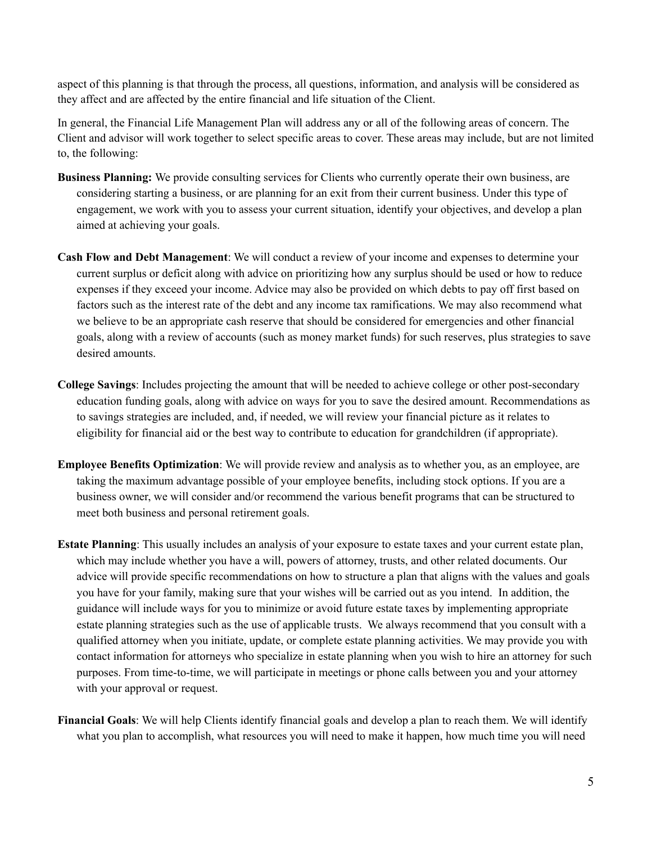aspect of this planning is that through the process, all questions, information, and analysis will be considered as they affect and are affected by the entire financial and life situation of the Client.

In general, the Financial Life Management Plan will address any or all of the following areas of concern. The Client and advisor will work together to select specific areas to cover. These areas may include, but are not limited to, the following:

- **Business Planning:** We provide consulting services for Clients who currently operate their own business, are considering starting a business, or are planning for an exit from their current business. Under this type of engagement, we work with you to assess your current situation, identify your objectives, and develop a plan aimed at achieving your goals.
- **Cash Flow and Debt Management**: We will conduct a review of your income and expenses to determine your current surplus or deficit along with advice on prioritizing how any surplus should be used or how to reduce expenses if they exceed your income. Advice may also be provided on which debts to pay off first based on factors such as the interest rate of the debt and any income tax ramifications. We may also recommend what we believe to be an appropriate cash reserve that should be considered for emergencies and other financial goals, along with a review of accounts (such as money market funds) for such reserves, plus strategies to save desired amounts.
- **College Savings**: Includes projecting the amount that will be needed to achieve college or other post-secondary education funding goals, along with advice on ways for you to save the desired amount. Recommendations as to savings strategies are included, and, if needed, we will review your financial picture as it relates to eligibility for financial aid or the best way to contribute to education for grandchildren (if appropriate).
- **Employee Benefits Optimization**: We will provide review and analysis as to whether you, as an employee, are taking the maximum advantage possible of your employee benefits, including stock options. If you are a business owner, we will consider and/or recommend the various benefit programs that can be structured to meet both business and personal retirement goals.
- **Estate Planning**: This usually includes an analysis of your exposure to estate taxes and your current estate plan, which may include whether you have a will, powers of attorney, trusts, and other related documents. Our advice will provide specific recommendations on how to structure a plan that aligns with the values and goals you have for your family, making sure that your wishes will be carried out as you intend. In addition, the guidance will include ways for you to minimize or avoid future estate taxes by implementing appropriate estate planning strategies such as the use of applicable trusts. We always recommend that you consult with a qualified attorney when you initiate, update, or complete estate planning activities. We may provide you with contact information for attorneys who specialize in estate planning when you wish to hire an attorney for such purposes. From time-to-time, we will participate in meetings or phone calls between you and your attorney with your approval or request.
- **Financial Goals**: We will help Clients identify financial goals and develop a plan to reach them. We will identify what you plan to accomplish, what resources you will need to make it happen, how much time you will need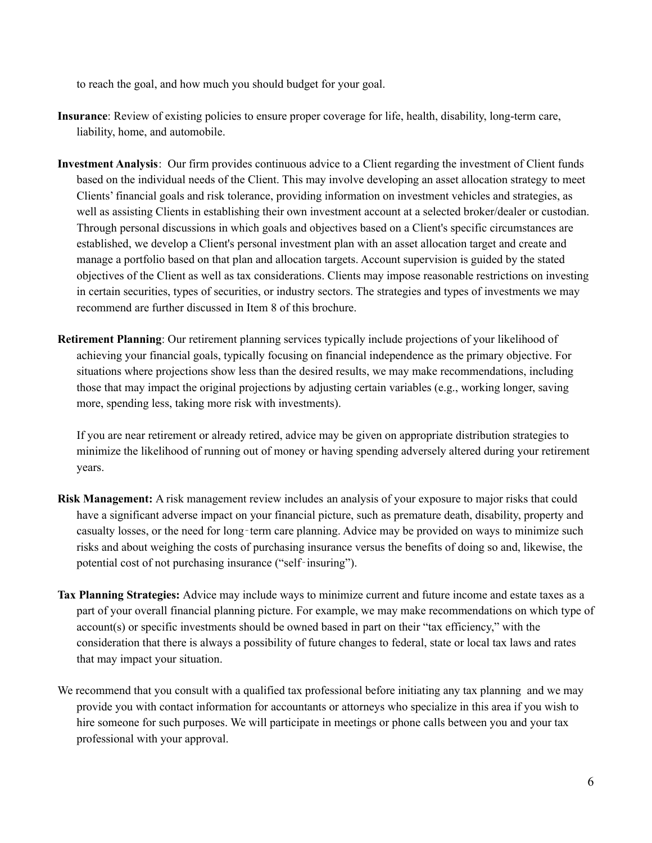to reach the goal, and how much you should budget for your goal.

- **Insurance**: Review of existing policies to ensure proper coverage for life, health, disability, long-term care, liability, home, and automobile.
- **Investment Analysis**: Our firm provides continuous advice to a Client regarding the investment of Client funds based on the individual needs of the Client. This may involve developing an asset allocation strategy to meet Clients' financial goals and risk tolerance, providing information on investment vehicles and strategies, as well as assisting Clients in establishing their own investment account at a selected broker/dealer or custodian. Through personal discussions in which goals and objectives based on a Client's specific circumstances are established, we develop a Client's personal investment plan with an asset allocation target and create and manage a portfolio based on that plan and allocation targets. Account supervision is guided by the stated objectives of the Client as well as tax considerations. Clients may impose reasonable restrictions on investing in certain securities, types of securities, or industry sectors. The strategies and types of investments we may recommend are further discussed in Item 8 of this brochure.
- **Retirement Planning**: Our retirement planning services typically include projections of your likelihood of achieving your financial goals, typically focusing on financial independence as the primary objective. For situations where projections show less than the desired results, we may make recommendations, including those that may impact the original projections by adjusting certain variables (e.g., working longer, saving more, spending less, taking more risk with investments).

If you are near retirement or already retired, advice may be given on appropriate distribution strategies to minimize the likelihood of running out of money or having spending adversely altered during your retirement years.

- **Risk Management:** A risk management review includes an analysis of your exposure to major risks that could have a significant adverse impact on your financial picture, such as premature death, disability, property and casualty losses, or the need for long‐term care planning. Advice may be provided on ways to minimize such risks and about weighing the costs of purchasing insurance versus the benefits of doing so and, likewise, the potential cost of not purchasing insurance ("self‐insuring").
- **Tax Planning Strategies:** Advice may include ways to minimize current and future income and estate taxes as a part of your overall financial planning picture. For example, we may make recommendations on which type of account(s) or specific investments should be owned based in part on their "tax efficiency," with the consideration that there is always a possibility of future changes to federal, state or local tax laws and rates that may impact your situation.
- We recommend that you consult with a qualified tax professional before initiating any tax planning and we may provide you with contact information for accountants or attorneys who specialize in this area if you wish to hire someone for such purposes. We will participate in meetings or phone calls between you and your tax professional with your approval.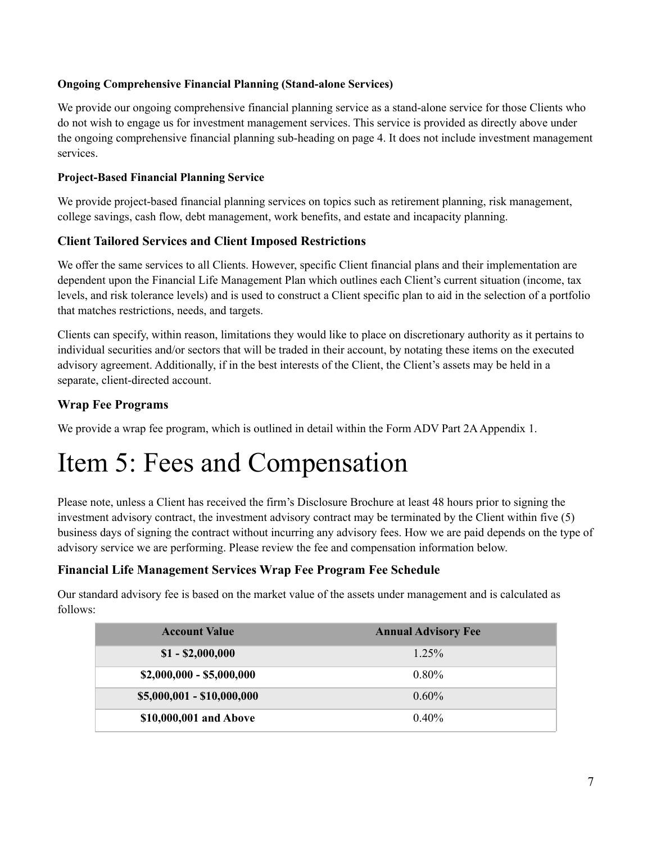#### **Ongoing Comprehensive Financial Planning (Stand-alone Services)**

We provide our ongoing comprehensive financial planning service as a stand-alone service for those Clients who do not wish to engage us for investment management services. This service is provided as directly above under the ongoing comprehensive financial planning sub-heading on page 4. It does not include investment management services.

#### **Project-Based Financial Planning Service**

We provide project-based financial planning services on topics such as retirement planning, risk management, college savings, cash flow, debt management, work benefits, and estate and incapacity planning.

### **Client Tailored Services and Client Imposed Restrictions**

We offer the same services to all Clients. However, specific Client financial plans and their implementation are dependent upon the Financial Life Management Plan which outlines each Client's current situation (income, tax levels, and risk tolerance levels) and is used to construct a Client specific plan to aid in the selection of a portfolio that matches restrictions, needs, and targets.

Clients can specify, within reason, limitations they would like to place on discretionary authority as it pertains to individual securities and/or sectors that will be traded in their account, by notating these items on the executed advisory agreement. Additionally, if in the best interests of the Client, the Client's assets may be held in a separate, client-directed account.

### **Wrap Fee Programs**

We provide a wrap fee program, which is outlined in detail within the Form ADV Part 2A Appendix 1.

## <span id="page-6-0"></span>Item 5: Fees and Compensation

Please note, unless a Client has received the firm's Disclosure Brochure at least 48 hours prior to signing the investment advisory contract, the investment advisory contract may be terminated by the Client within five (5) business days of signing the contract without incurring any advisory fees. How we are paid depends on the type of advisory service we are performing. Please review the fee and compensation information below.

### **Financial Life Management Services Wrap Fee Program Fee Schedule**

Our standard advisory fee is based on the market value of the assets under management and is calculated as follows:

| <b>Account Value</b>       | <b>Annual Advisory Fee</b> |
|----------------------------|----------------------------|
| $$1 - $2,000,000$          | $1.25\%$                   |
| $$2,000,000 - $5,000,000$  | $0.80\%$                   |
| $$5,000,001 - $10,000,000$ | $0.60\%$                   |
| \$10,000,001 and Above     | $0.40\%$                   |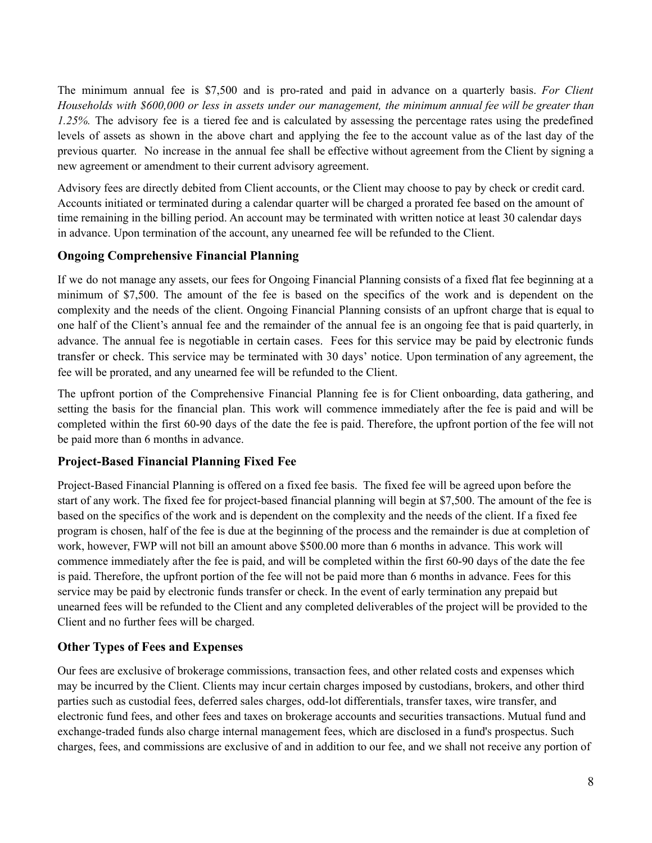The minimum annual fee is \$7,500 and is pro-rated and paid in advance on a quarterly basis. *For Client* Households with \$600,000 or less in assets under our management, the minimum annual fee will be greater than *1.25%.* The advisory fee is a tiered fee and is calculated by assessing the percentage rates using the predefined levels of assets as shown in the above chart and applying the fee to the account value as of the last day of the previous quarter. No increase in the annual fee shall be effective without agreement from the Client by signing a new agreement or amendment to their current advisory agreement.

Advisory fees are directly debited from Client accounts, or the Client may choose to pay by check or credit card. Accounts initiated or terminated during a calendar quarter will be charged a prorated fee based on the amount of time remaining in the billing period. An account may be terminated with written notice at least 30 calendar days in advance. Upon termination of the account, any unearned fee will be refunded to the Client.

#### **Ongoing Comprehensive Financial Planning**

If we do not manage any assets, our fees for Ongoing Financial Planning consists of a fixed flat fee beginning at a minimum of \$7,500. The amount of the fee is based on the specifics of the work and is dependent on the complexity and the needs of the client. Ongoing Financial Planning consists of an upfront charge that is equal to one half of the Client's annual fee and the remainder of the annual fee is an ongoing fee that is paid quarterly, in advance. The annual fee is negotiable in certain cases. Fees for this service may be paid by electronic funds transfer or check. This service may be terminated with 30 days' notice. Upon termination of any agreement, the fee will be prorated, and any unearned fee will be refunded to the Client.

The upfront portion of the Comprehensive Financial Planning fee is for Client onboarding, data gathering, and setting the basis for the financial plan. This work will commence immediately after the fee is paid and will be completed within the first 60-90 days of the date the fee is paid. Therefore, the upfront portion of the fee will not be paid more than 6 months in advance.

### **Project-Based Financial Planning Fixed Fee**

Project-Based Financial Planning is offered on a fixed fee basis. The fixed fee will be agreed upon before the start of any work. The fixed fee for project-based financial planning will begin at \$7,500. The amount of the fee is based on the specifics of the work and is dependent on the complexity and the needs of the client. If a fixed fee program is chosen, half of the fee is due at the beginning of the process and the remainder is due at completion of work, however, FWP will not bill an amount above \$500.00 more than 6 months in advance. This work will commence immediately after the fee is paid, and will be completed within the first 60-90 days of the date the fee is paid. Therefore, the upfront portion of the fee will not be paid more than 6 months in advance. Fees for this service may be paid by electronic funds transfer or check. In the event of early termination any prepaid but unearned fees will be refunded to the Client and any completed deliverables of the project will be provided to the Client and no further fees will be charged.

### **Other Types of Fees and Expenses**

Our fees are exclusive of brokerage commissions, transaction fees, and other related costs and expenses which may be incurred by the Client. Clients may incur certain charges imposed by custodians, brokers, and other third parties such as custodial fees, deferred sales charges, odd-lot differentials, transfer taxes, wire transfer, and electronic fund fees, and other fees and taxes on brokerage accounts and securities transactions. Mutual fund and exchange-traded funds also charge internal management fees, which are disclosed in a fund's prospectus. Such charges, fees, and commissions are exclusive of and in addition to our fee, and we shall not receive any portion of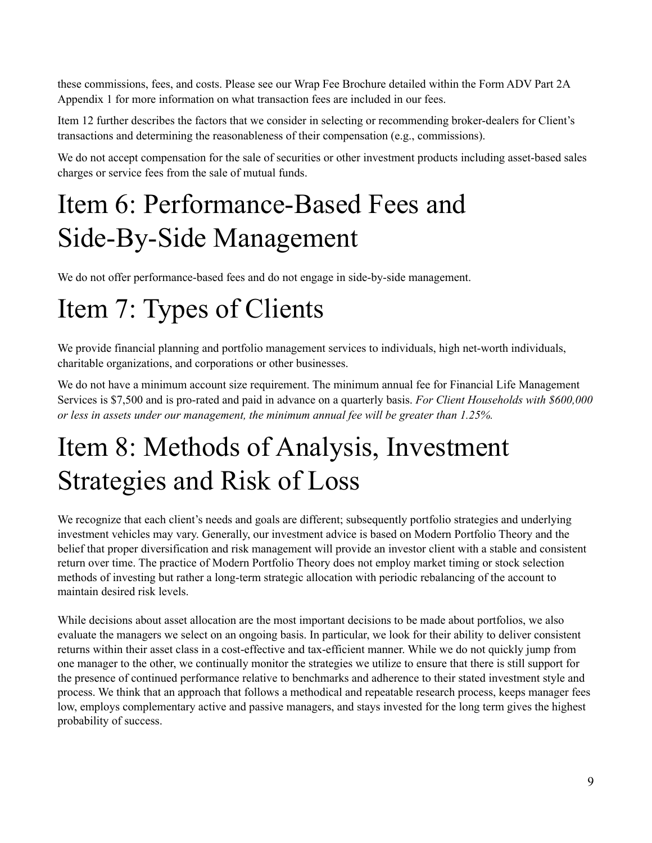these commissions, fees, and costs. Please see our Wrap Fee Brochure detailed within the Form ADV Part 2A Appendix 1 for more information on what transaction fees are included in our fees.

Item 12 further describes the factors that we consider in selecting or recommending broker-dealers for Client's transactions and determining the reasonableness of their compensation (e.g., commissions).

We do not accept compensation for the sale of securities or other investment products including asset-based sales charges or service fees from the sale of mutual funds.

## <span id="page-8-0"></span>Item 6: Performance-Based Fees and Side-By-Side Management

We do not offer performance-based fees and do not engage in side-by-side management.

## <span id="page-8-1"></span>Item 7: Types of Clients

We provide financial planning and portfolio management services to individuals, high net-worth individuals, charitable organizations, and corporations or other businesses.

We do not have a minimum account size requirement. The minimum annual fee for Financial Life Management Services is \$7,500 and is pro-rated and paid in advance on a quarterly basis. *For Client Households with \$600,000 or less in assets under our management, the minimum annual fee will be greater than 1.25%.*

# <span id="page-8-2"></span>Item 8: Methods of Analysis, Investment Strategies and Risk of Loss

We recognize that each client's needs and goals are different; subsequently portfolio strategies and underlying investment vehicles may vary. Generally, our investment advice is based on Modern Portfolio Theory and the belief that proper diversification and risk management will provide an investor client with a stable and consistent return over time. The practice of Modern Portfolio Theory does not employ market timing or stock selection methods of investing but rather a long-term strategic allocation with periodic rebalancing of the account to maintain desired risk levels.

While decisions about asset allocation are the most important decisions to be made about portfolios, we also evaluate the managers we select on an ongoing basis. In particular, we look for their ability to deliver consistent returns within their asset class in a cost-effective and tax-efficient manner. While we do not quickly jump from one manager to the other, we continually monitor the strategies we utilize to ensure that there is still support for the presence of continued performance relative to benchmarks and adherence to their stated investment style and process. We think that an approach that follows a methodical and repeatable research process, keeps manager fees low, employs complementary active and passive managers, and stays invested for the long term gives the highest probability of success.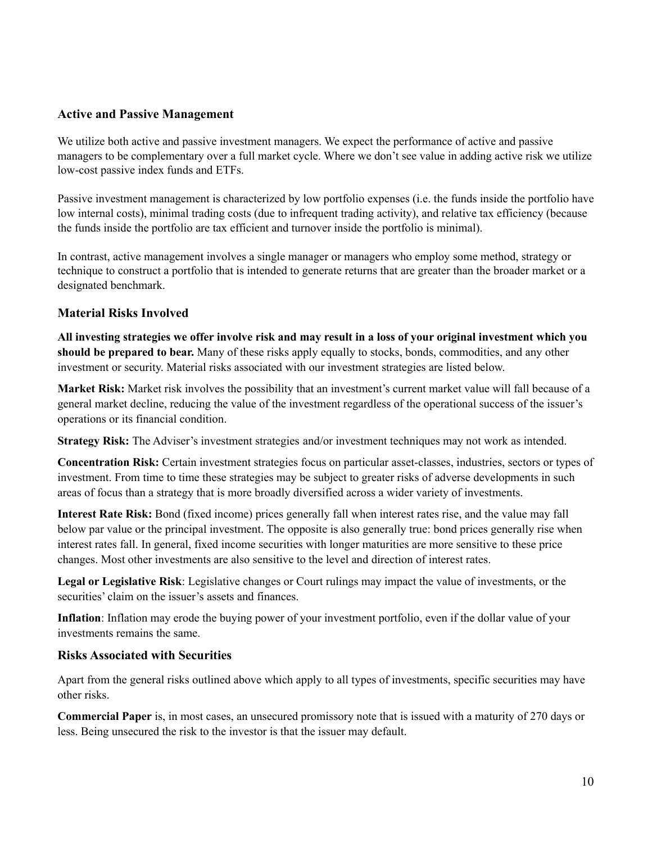#### **Active and Passive Management**

We utilize both active and passive investment managers. We expect the performance of active and passive managers to be complementary over a full market cycle. Where we don't see value in adding active risk we utilize low-cost passive index funds and ETFs.

Passive investment management is characterized by low portfolio expenses (i.e. the funds inside the portfolio have low internal costs), minimal trading costs (due to infrequent trading activity), and relative tax efficiency (because the funds inside the portfolio are tax efficient and turnover inside the portfolio is minimal).

In contrast, active management involves a single manager or managers who employ some method, strategy or technique to construct a portfolio that is intended to generate returns that are greater than the broader market or a designated benchmark.

#### **Material Risks Involved**

All investing strategies we offer involve risk and may result in a loss of your original investment which you **should be prepared to bear.** Many of these risks apply equally to stocks, bonds, commodities, and any other investment or security. Material risks associated with our investment strategies are listed below.

**Market Risk:** Market risk involves the possibility that an investment's current market value will fall because of a general market decline, reducing the value of the investment regardless of the operational success of the issuer's operations or its financial condition.

**Strategy Risk:** The Adviser's investment strategies and/or investment techniques may not work as intended.

**Concentration Risk:** Certain investment strategies focus on particular asset-classes, industries, sectors or types of investment. From time to time these strategies may be subject to greater risks of adverse developments in such areas of focus than a strategy that is more broadly diversified across a wider variety of investments.

**Interest Rate Risk:** Bond (fixed income) prices generally fall when interest rates rise, and the value may fall below par value or the principal investment. The opposite is also generally true: bond prices generally rise when interest rates fall. In general, fixed income securities with longer maturities are more sensitive to these price changes. Most other investments are also sensitive to the level and direction of interest rates.

**Legal or Legislative Risk**: Legislative changes or Court rulings may impact the value of investments, or the securities' claim on the issuer's assets and finances.

**Inflation**: Inflation may erode the buying power of your investment portfolio, even if the dollar value of your investments remains the same.

#### **Risks Associated with Securities**

Apart from the general risks outlined above which apply to all types of investments, specific securities may have other risks.

**Commercial Paper** is, in most cases, an unsecured promissory note that is issued with a maturity of 270 days or less. Being unsecured the risk to the investor is that the issuer may default.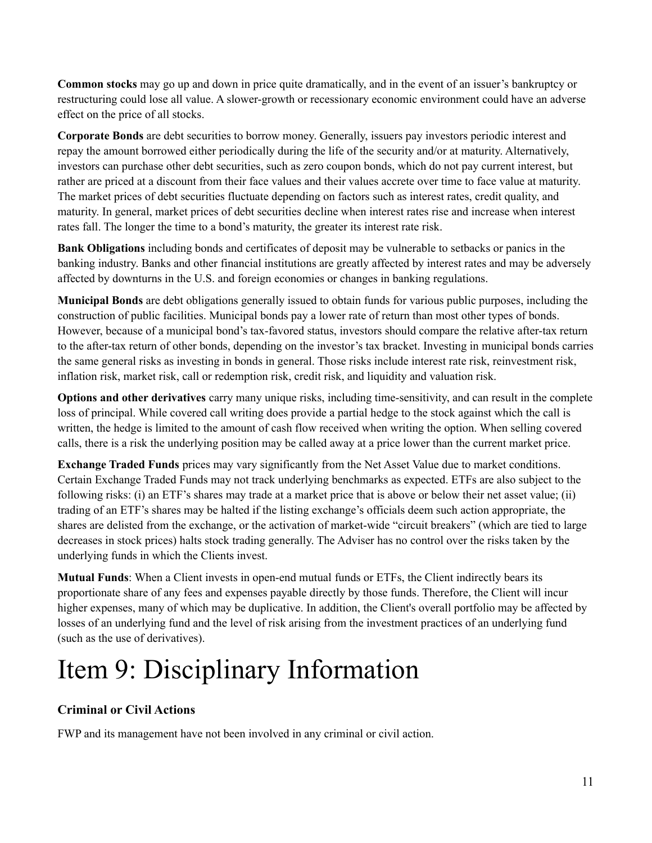**Common stocks** may go up and down in price quite dramatically, and in the event of an issuer's bankruptcy or restructuring could lose all value. A slower-growth or recessionary economic environment could have an adverse effect on the price of all stocks.

**Corporate Bonds** are debt securities to borrow money. Generally, issuers pay investors periodic interest and repay the amount borrowed either periodically during the life of the security and/or at maturity. Alternatively, investors can purchase other debt securities, such as zero coupon bonds, which do not pay current interest, but rather are priced at a discount from their face values and their values accrete over time to face value at maturity. The market prices of debt securities fluctuate depending on factors such as interest rates, credit quality, and maturity. In general, market prices of debt securities decline when interest rates rise and increase when interest rates fall. The longer the time to a bond's maturity, the greater its interest rate risk.

**Bank Obligations** including bonds and certificates of deposit may be vulnerable to setbacks or panics in the banking industry. Banks and other financial institutions are greatly affected by interest rates and may be adversely affected by downturns in the U.S. and foreign economies or changes in banking regulations.

**Municipal Bonds** are debt obligations generally issued to obtain funds for various public purposes, including the construction of public facilities. Municipal bonds pay a lower rate of return than most other types of bonds. However, because of a municipal bond's tax-favored status, investors should compare the relative after-tax return to the after-tax return of other bonds, depending on the investor's tax bracket. Investing in municipal bonds carries the same general risks as investing in bonds in general. Those risks include interest rate risk, reinvestment risk, inflation risk, market risk, call or redemption risk, credit risk, and liquidity and valuation risk.

**Options and other derivatives** carry many unique risks, including time-sensitivity, and can result in the complete loss of principal. While covered call writing does provide a partial hedge to the stock against which the call is written, the hedge is limited to the amount of cash flow received when writing the option. When selling covered calls, there is a risk the underlying position may be called away at a price lower than the current market price.

**Exchange Traded Funds** prices may vary significantly from the Net Asset Value due to market conditions. Certain Exchange Traded Funds may not track underlying benchmarks as expected. ETFs are also subject to the following risks: (i) an ETF's shares may trade at a market price that is above or below their net asset value; (ii) trading of an ETF's shares may be halted if the listing exchange's officials deem such action appropriate, the shares are delisted from the exchange, or the activation of market-wide "circuit breakers" (which are tied to large decreases in stock prices) halts stock trading generally. The Adviser has no control over the risks taken by the underlying funds in which the Clients invest.

**Mutual Funds**: When a Client invests in open-end mutual funds or ETFs, the Client indirectly bears its proportionate share of any fees and expenses payable directly by those funds. Therefore, the Client will incur higher expenses, many of which may be duplicative. In addition, the Client's overall portfolio may be affected by losses of an underlying fund and the level of risk arising from the investment practices of an underlying fund (such as the use of derivatives).

# <span id="page-10-0"></span>Item 9: Disciplinary Information

### **Criminal or Civil Actions**

FWP and its management have not been involved in any criminal or civil action.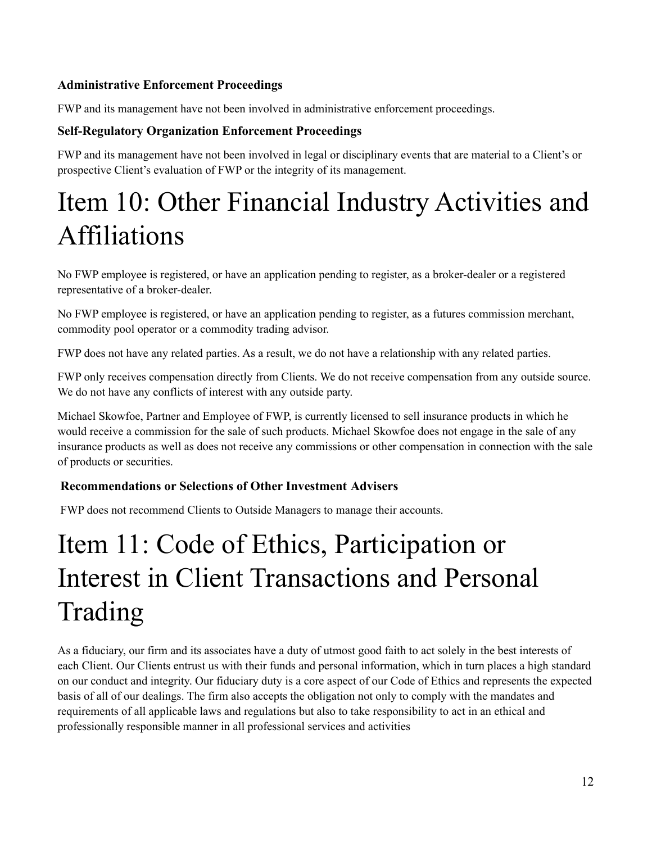### **Administrative Enforcement Proceedings**

FWP and its management have not been involved in administrative enforcement proceedings.

### **Self-Regulatory Organization Enforcement Proceedings**

FWP and its management have not been involved in legal or disciplinary events that are material to a Client's or prospective Client's evaluation of FWP or the integrity of its management.

## <span id="page-11-0"></span>Item 10: Other Financial Industry Activities and Affiliations

No FWP employee is registered, or have an application pending to register, as a broker-dealer or a registered representative of a broker-dealer.

No FWP employee is registered, or have an application pending to register, as a futures commission merchant, commodity pool operator or a commodity trading advisor.

FWP does not have any related parties. As a result, we do not have a relationship with any related parties.

FWP only receives compensation directly from Clients. We do not receive compensation from any outside source. We do not have any conflicts of interest with any outside party.

Michael Skowfoe, Partner and Employee of FWP, is currently licensed to sell insurance products in which he would receive a commission for the sale of such products. Michael Skowfoe does not engage in the sale of any insurance products as well as does not receive any commissions or other compensation in connection with the sale of products or securities.

### **Recommendations or Selections of Other Investment Advisers**

FWP does not recommend Clients to Outside Managers to manage their accounts.

# Item 11: Code of Ethics, Participation or Interest in Client Transactions and Personal Trading

<span id="page-11-1"></span>As a fiduciary, our firm and its associates have a duty of utmost good faith to act solely in the best interests of each Client. Our Clients entrust us with their funds and personal information, which in turn places a high standard on our conduct and integrity. Our fiduciary duty is a core aspect of our Code of Ethics and represents the expected basis of all of our dealings. The firm also accepts the obligation not only to comply with the mandates and requirements of all applicable laws and regulations but also to take responsibility to act in an ethical and professionally responsible manner in all professional services and activities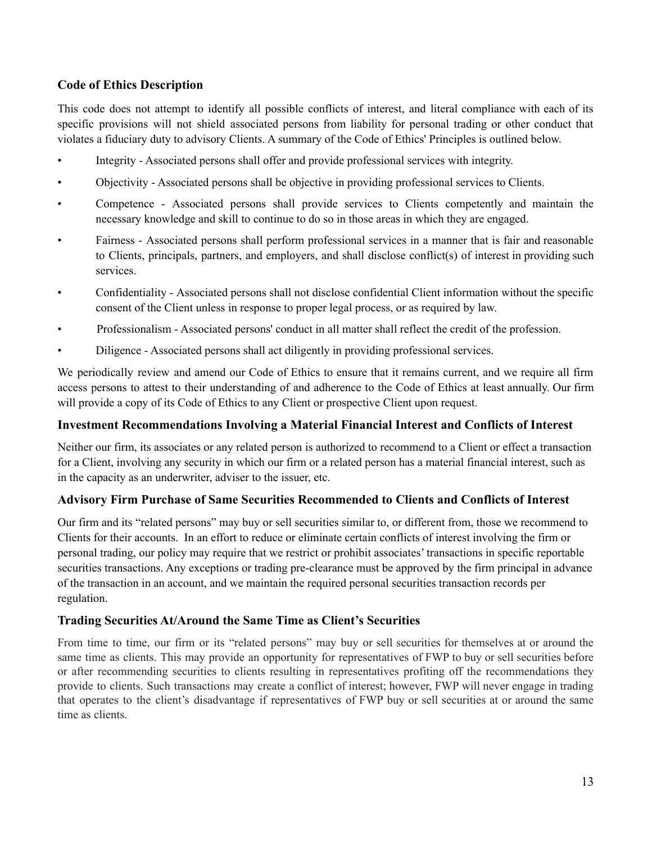### **Code of Ethics Description**

This code does not attempt to identify all possible conflicts of interest, and literal compliance with each of its specific provisions will not shield associated persons from liability for personal trading or other conduct that violates a fiduciary duty to advisory Clients. A summary of the Code of Ethics' Principles is outlined below.

- Integrity Associated persons shall offer and provide professional services with integrity.
- Objectivity Associated persons shall be objective in providing professional services to Clients.
- Competence Associated persons shall provide services to Clients competently and maintain the necessary knowledge and skill to continue to do so in those areas in which they are engaged.
- Fairness Associated persons shall perform professional services in a manner that is fair and reasonable to Clients, principals, partners, and employers, and shall disclose conflict(s) of interest in providing such services.
- Confidentiality Associated persons shall not disclose confidential Client information without the specific consent of the Client unless in response to proper legal process, or as required by law.
- Professionalism Associated persons' conduct in all matter shall reflect the credit of the profession.
- Diligence Associated persons shall act diligently in providing professional services.

We periodically review and amend our Code of Ethics to ensure that it remains current, and we require all firm access persons to attest to their understanding of and adherence to the Code of Ethics at least annually. Our firm will provide a copy of its Code of Ethics to any Client or prospective Client upon request.

#### **Investment Recommendations Involving a Material Financial Interest and Conflicts of Interest**

Neither our firm, its associates or any related person is authorized to recommend to a Client or effect a transaction for a Client, involving any security in which our firm or a related person has a material financial interest, such as in the capacity as an underwriter, adviser to the issuer, etc.

### **Advisory Firm Purchase of Same Securities Recommended to Clients and Conflicts of Interest**

Our firm and its "related persons" may buy or sell securities similar to, or different from, those we recommend to Clients for their accounts. In an effort to reduce or eliminate certain conflicts of interest involving the firm or personal trading, our policy may require that we restrict or prohibit associates' transactions in specific reportable securities transactions. Any exceptions or trading pre-clearance must be approved by the firm principal in advance of the transaction in an account, and we maintain the required personal securities transaction records per regulation.

### **Trading Securities At/Around the Same Time as Client's Securities**

From time to time, our firm or its "related persons" may buy or sell securities for themselves at or around the same time as clients. This may provide an opportunity for representatives of FWP to buy or sell securities before or after recommending securities to clients resulting in representatives profiting off the recommendations they provide to clients. Such transactions may create a conflict of interest; however, FWP will never engage in trading that operates to the client's disadvantage if representatives of FWP buy or sell securities at or around the same time as clients.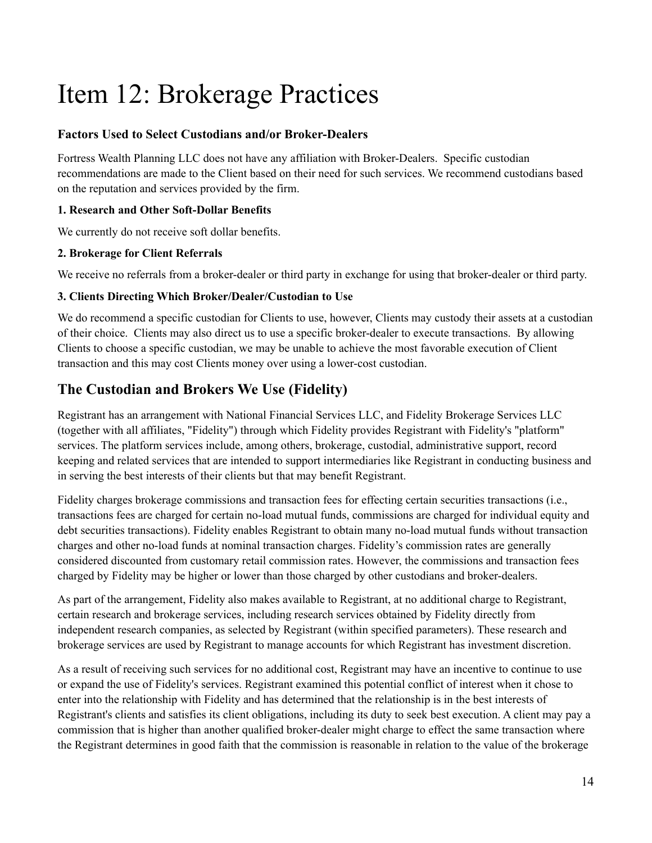# <span id="page-13-0"></span>Item 12: Brokerage Practices

### **Factors Used to Select Custodians and/or Broker-Dealers**

Fortress Wealth Planning LLC does not have any affiliation with Broker-Dealers. Specific custodian recommendations are made to the Client based on their need for such services. We recommend custodians based on the reputation and services provided by the firm.

### **1. Research and Other Soft-Dollar Benefits**

We currently do not receive soft dollar benefits.

### **2. Brokerage for Client Referrals**

We receive no referrals from a broker-dealer or third party in exchange for using that broker-dealer or third party.

### **3. Clients Directing Which Broker/Dealer/Custodian to Use**

We do recommend a specific custodian for Clients to use, however, Clients may custody their assets at a custodian of their choice. Clients may also direct us to use a specific broker-dealer to execute transactions. By allowing Clients to choose a specific custodian, we may be unable to achieve the most favorable execution of Client transaction and this may cost Clients money over using a lower-cost custodian.

### **The Custodian and Brokers We Use (Fidelity)**

Registrant has an arrangement with National Financial Services LLC, and Fidelity Brokerage Services LLC (together with all affiliates, "Fidelity") through which Fidelity provides Registrant with Fidelity's "platform" services. The platform services include, among others, brokerage, custodial, administrative support, record keeping and related services that are intended to support intermediaries like Registrant in conducting business and in serving the best interests of their clients but that may benefit Registrant.

Fidelity charges brokerage commissions and transaction fees for effecting certain securities transactions (i.e., transactions fees are charged for certain no-load mutual funds, commissions are charged for individual equity and debt securities transactions). Fidelity enables Registrant to obtain many no-load mutual funds without transaction charges and other no-load funds at nominal transaction charges. Fidelity's commission rates are generally considered discounted from customary retail commission rates. However, the commissions and transaction fees charged by Fidelity may be higher or lower than those charged by other custodians and broker-dealers.

As part of the arrangement, Fidelity also makes available to Registrant, at no additional charge to Registrant, certain research and brokerage services, including research services obtained by Fidelity directly from independent research companies, as selected by Registrant (within specified parameters). These research and brokerage services are used by Registrant to manage accounts for which Registrant has investment discretion.

As a result of receiving such services for no additional cost, Registrant may have an incentive to continue to use or expand the use of Fidelity's services. Registrant examined this potential conflict of interest when it chose to enter into the relationship with Fidelity and has determined that the relationship is in the best interests of Registrant's clients and satisfies its client obligations, including its duty to seek best execution. A client may pay a commission that is higher than another qualified broker-dealer might charge to effect the same transaction where the Registrant determines in good faith that the commission is reasonable in relation to the value of the brokerage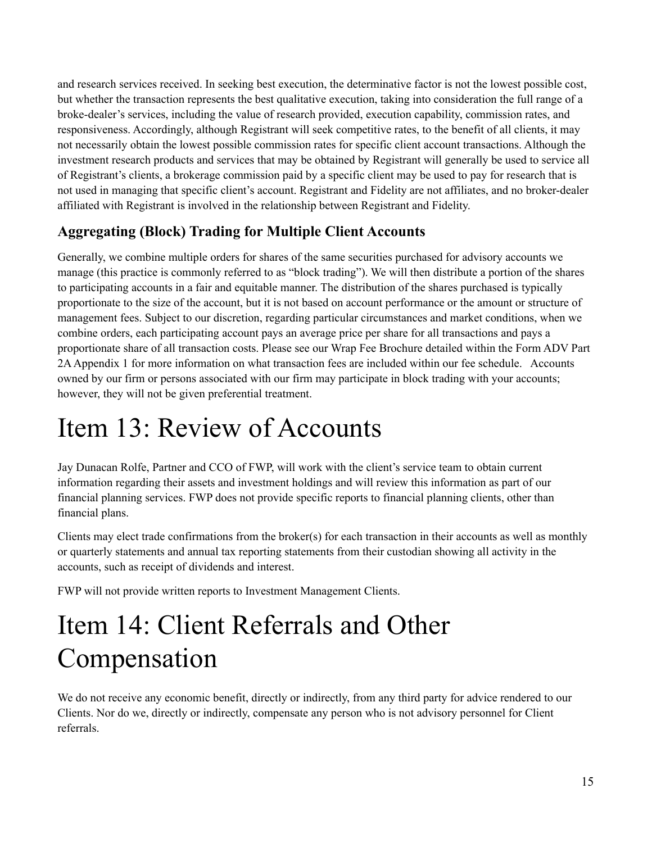and research services received. In seeking best execution, the determinative factor is not the lowest possible cost, but whether the transaction represents the best qualitative execution, taking into consideration the full range of a broke-dealer's services, including the value of research provided, execution capability, commission rates, and responsiveness. Accordingly, although Registrant will seek competitive rates, to the benefit of all clients, it may not necessarily obtain the lowest possible commission rates for specific client account transactions. Although the investment research products and services that may be obtained by Registrant will generally be used to service all of Registrant's clients, a brokerage commission paid by a specific client may be used to pay for research that is not used in managing that specific client's account. Registrant and Fidelity are not affiliates, and no broker-dealer affiliated with Registrant is involved in the relationship between Registrant and Fidelity.

### **Aggregating (Block) Trading for Multiple Client Accounts**

Generally, we combine multiple orders for shares of the same securities purchased for advisory accounts we manage (this practice is commonly referred to as "block trading"). We will then distribute a portion of the shares to participating accounts in a fair and equitable manner. The distribution of the shares purchased is typically proportionate to the size of the account, but it is not based on account performance or the amount or structure of management fees. Subject to our discretion, regarding particular circumstances and market conditions, when we combine orders, each participating account pays an average price per share for all transactions and pays a proportionate share of all transaction costs. Please see our Wrap Fee Brochure detailed within the Form ADV Part 2AAppendix 1 for more information on what transaction fees are included within our fee schedule. Accounts owned by our firm or persons associated with our firm may participate in block trading with your accounts; however, they will not be given preferential treatment.

## <span id="page-14-0"></span>Item 13: Review of Accounts

Jay Dunacan Rolfe, Partner and CCO of FWP, will work with the client's service team to obtain current information regarding their assets and investment holdings and will review this information as part of our financial planning services. FWP does not provide specific reports to financial planning clients, other than financial plans.

Clients may elect trade confirmations from the broker(s) for each transaction in their accounts as well as monthly or quarterly statements and annual tax reporting statements from their custodian showing all activity in the accounts, such as receipt of dividends and interest.

FWP will not provide written reports to Investment Management Clients.

## <span id="page-14-1"></span>Item 14: Client Referrals and Other Compensation

We do not receive any economic benefit, directly or indirectly, from any third party for advice rendered to our Clients. Nor do we, directly or indirectly, compensate any person who is not advisory personnel for Client referrals.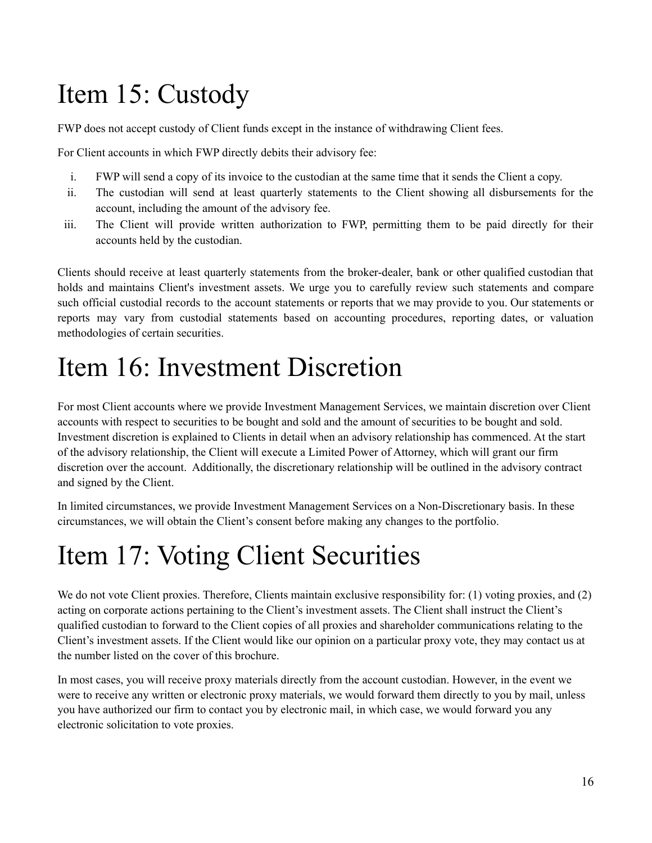# Item 15: Custody

FWP does not accept custody of Client funds except in the instance of withdrawing Client fees.

For Client accounts in which FWP directly debits their advisory fee:

- i. FWP will send a copy of its invoice to the custodian at the same time that it sends the Client a copy.
- ii. The custodian will send at least quarterly statements to the Client showing all disbursements for the account, including the amount of the advisory fee.
- iii. The Client will provide written authorization to FWP, permitting them to be paid directly for their accounts held by the custodian.

Clients should receive at least quarterly statements from the broker-dealer, bank or other qualified custodian that holds and maintains Client's investment assets. We urge you to carefully review such statements and compare such official custodial records to the account statements or reports that we may provide to you. Our statements or reports may vary from custodial statements based on accounting procedures, reporting dates, or valuation methodologies of certain securities.

## <span id="page-15-0"></span>Item 16: Investment Discretion

For most Client accounts where we provide Investment Management Services, we maintain discretion over Client accounts with respect to securities to be bought and sold and the amount of securities to be bought and sold. Investment discretion is explained to Clients in detail when an advisory relationship has commenced. At the start of the advisory relationship, the Client will execute a Limited Power of Attorney, which will grant our firm discretion over the account. Additionally, the discretionary relationship will be outlined in the advisory contract and signed by the Client.

In limited circumstances, we provide Investment Management Services on a Non-Discretionary basis. In these circumstances, we will obtain the Client's consent before making any changes to the portfolio.

## <span id="page-15-1"></span>Item 17: Voting Client Securities

We do not vote Client proxies. Therefore, Clients maintain exclusive responsibility for: (1) voting proxies, and (2) acting on corporate actions pertaining to the Client's investment assets. The Client shall instruct the Client's qualified custodian to forward to the Client copies of all proxies and shareholder communications relating to the Client's investment assets. If the Client would like our opinion on a particular proxy vote, they may contact us at the number listed on the cover of this brochure.

In most cases, you will receive proxy materials directly from the account custodian. However, in the event we were to receive any written or electronic proxy materials, we would forward them directly to you by mail, unless you have authorized our firm to contact you by electronic mail, in which case, we would forward you any electronic solicitation to vote proxies.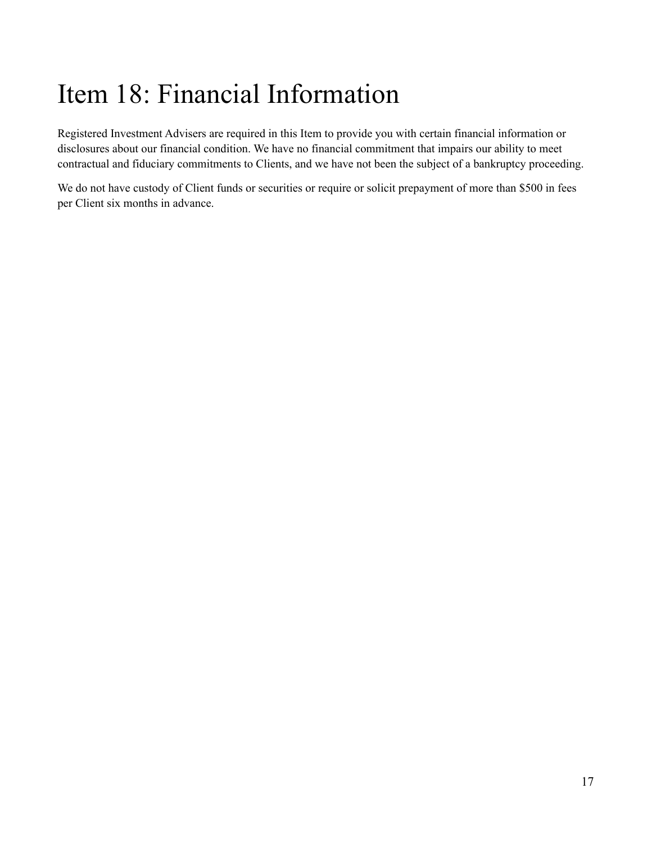# <span id="page-16-0"></span>Item 18: Financial Information

Registered Investment Advisers are required in this Item to provide you with certain financial information or disclosures about our financial condition. We have no financial commitment that impairs our ability to meet contractual and fiduciary commitments to Clients, and we have not been the subject of a bankruptcy proceeding.

We do not have custody of Client funds or securities or require or solicit prepayment of more than \$500 in fees per Client six months in advance.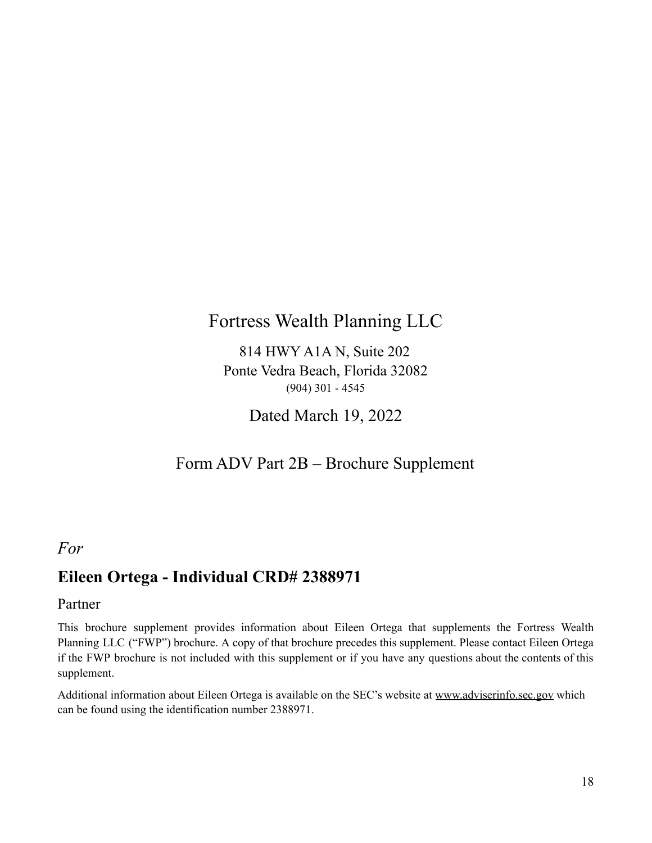## Fortress Wealth Planning LLC

814 HWY A1A N, Suite 202 Ponte Vedra Beach, Florida 32082 (904) 301 - 4545

Dated March 19, 2022

### Form ADV Part 2B – Brochure Supplement

### <span id="page-17-0"></span>*For*

### **Eileen Ortega - Individual CRD# 2388971**

### Partner

This brochure supplement provides information about Eileen Ortega that supplements the Fortress Wealth Planning LLC ("FWP") brochure. A copy of that brochure precedes this supplement. Please contact Eileen Ortega if the FWP brochure is not included with this supplement or if you have any questions about the contents of this supplement.

Additional information about Eileen Ortega is available on the SEC's website at [www.adviserinfo.sec.gov](http://www.adviserinfo.sec.gov) which can be found using the identification number 2388971.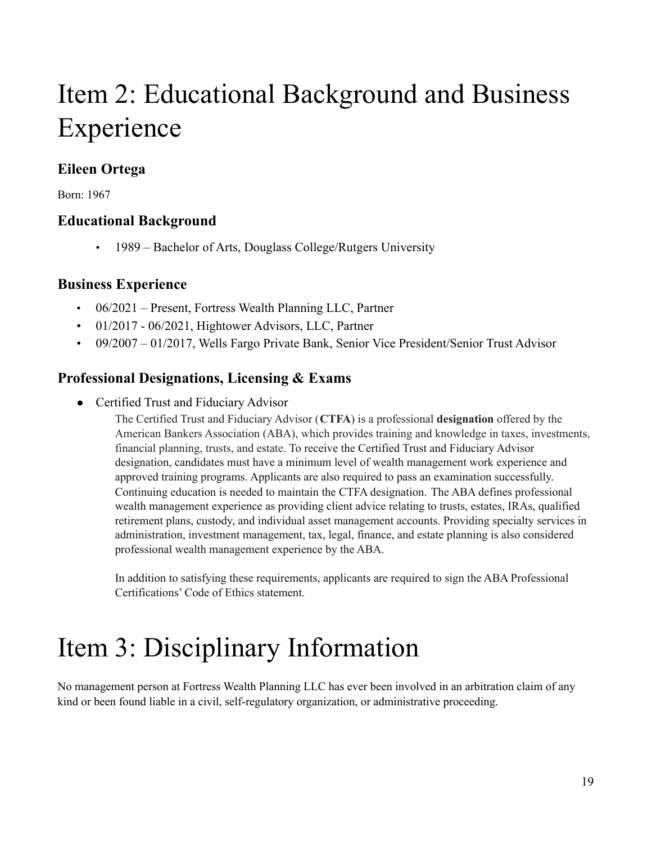# Item 2: Educational Background and Business Experience

### **Eileen Ortega**

Born: 1967

### **Educational Background**

• 1989 – Bachelor of Arts, Douglass College/Rutgers University

### **Business Experience**

- 06/2021 Present, Fortress Wealth Planning LLC, Partner
- 01/2017 06/2021, Hightower Advisors, LLC, Partner
- 09/2007 01/2017, Wells Fargo Private Bank, Senior Vice President/Senior Trust Advisor

### **Professional Designations, Licensing & Exams**

● Certified Trust and Fiduciary Advisor

The Certified Trust and Fiduciary Advisor (**CTFA**) is a professional **designation** offered by the American Bankers Association (ABA), which provides training and knowledge in taxes, investments, financial planning, trusts, and estate. To receive the Certified Trust and Fiduciary Advisor designation, candidates must have a minimum level of wealth management work experience and approved training programs. Applicants are also required to pass an examination successfully. Continuing education is needed to maintain the CTFA designation. The ABA defines professional wealth management experience as providing client advice relating to trusts, estates, IRAs, qualified retirement plans, custody, and individual asset management accounts. Providing specialty services in administration, investment management, tax, legal, finance, and estate planning is also considered professional wealth management experience by the ABA.

In addition to satisfying these requirements, applicants are required to sign the ABA Professional Certifications' Code of Ethics statement.

# Item 3: Disciplinary Information

No management person at Fortress Wealth Planning LLC has ever been involved in an arbitration claim of any kind or been found liable in a civil, self-regulatory organization, or administrative proceeding.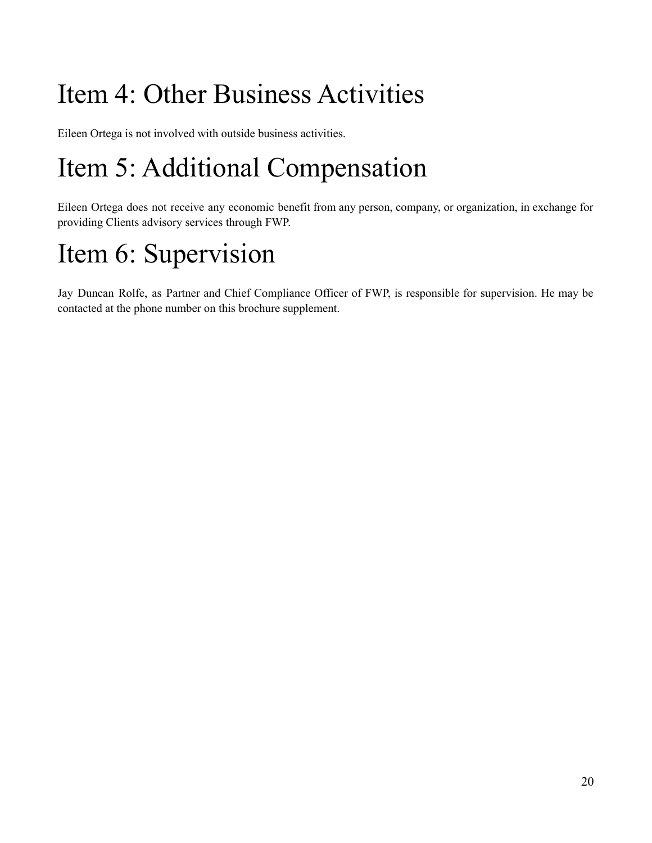# Item 4: Other Business Activities

Eileen Ortega is not involved with outside business activities.

# Item 5: Additional Compensation

Eileen Ortega does not receive any economic benefit from any person, company, or organization, in exchange for providing Clients advisory services through FWP.

# Item 6: Supervision

Jay Duncan Rolfe, as Partner and Chief Compliance Officer of FWP, is responsible for supervision. He may be contacted at the phone number on this brochure supplement.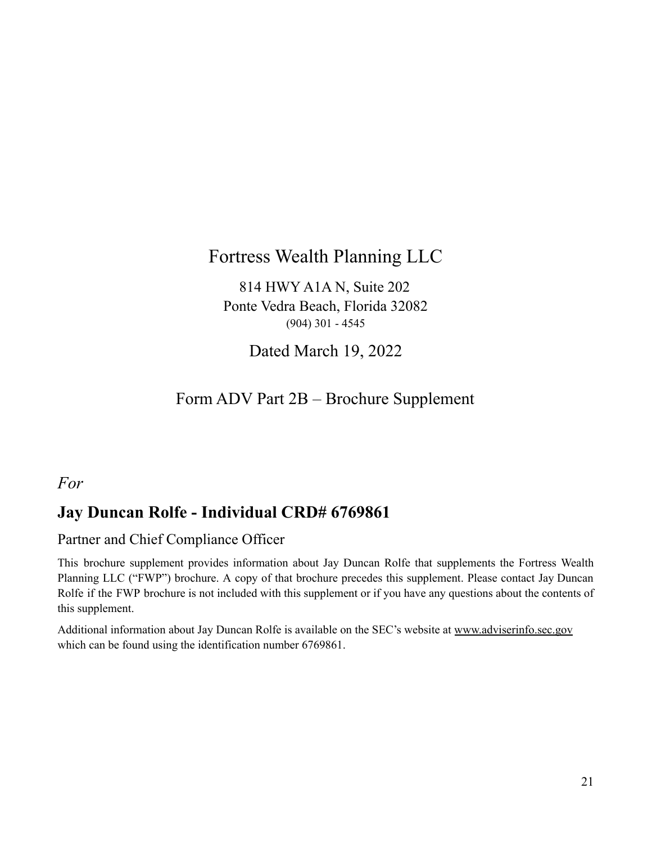## Fortress Wealth Planning LLC

814 HWY A1A N, Suite 202 Ponte Vedra Beach, Florida 32082 (904) 301 - 4545

Dated March 19, 2022

## Form ADV Part 2B – Brochure Supplement

### <span id="page-20-0"></span>*For*

## **Jay Duncan Rolfe - Individual CRD# 6769861**

### Partner and Chief Compliance Officer

This brochure supplement provides information about Jay Duncan Rolfe that supplements the Fortress Wealth Planning LLC ("FWP") brochure. A copy of that brochure precedes this supplement. Please contact Jay Duncan Rolfe if the FWP brochure is not included with this supplement or if you have any questions about the contents of this supplement.

Additional information about Jay Duncan Rolfe is available on the SEC's website at [www.adviserinfo.sec.gov](http://www.adviserinfo.sec.gov) which can be found using the identification number 6769861.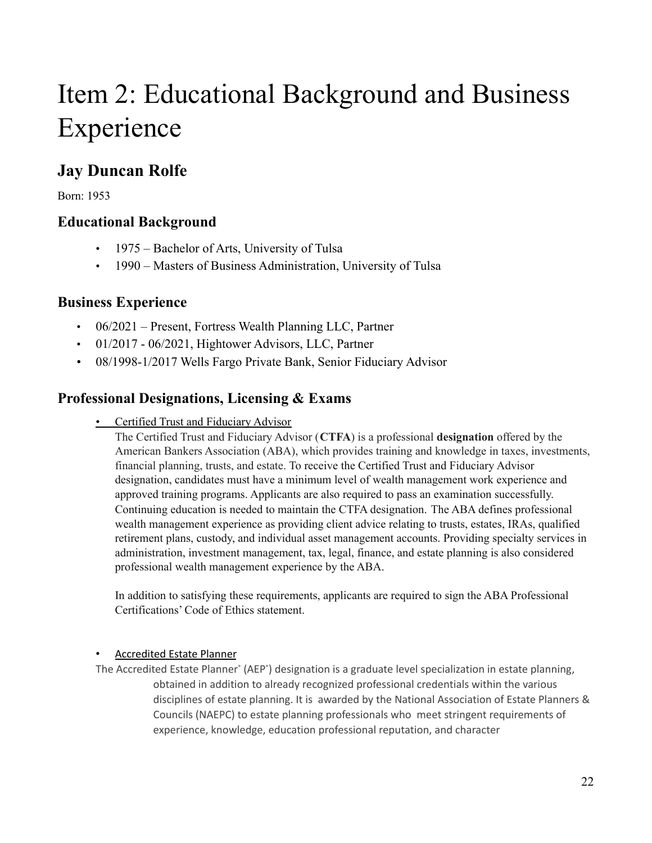# Item 2: Educational Background and Business Experience

## **Jay Duncan Rolfe**

Born: 1953

### **Educational Background**

- 1975 Bachelor of Arts, University of Tulsa
- 1990 Masters of Business Administration, University of Tulsa

### **Business Experience**

- 06/2021 Present, Fortress Wealth Planning LLC, Partner
- 01/2017 06/2021, Hightower Advisors, LLC, Partner
- 08/1998-1/2017 Wells Fargo Private Bank, Senior Fiduciary Advisor

### **Professional Designations, Licensing & Exams**

• Certified Trust and Fiduciary Advisor

The Certified Trust and Fiduciary Advisor (**CTFA**) is a professional **designation** offered by the American Bankers Association (ABA), which provides training and knowledge in taxes, investments, financial planning, trusts, and estate. To receive the Certified Trust and Fiduciary Advisor designation, candidates must have a minimum level of wealth management work experience and approved training programs. Applicants are also required to pass an examination successfully. Continuing education is needed to maintain the CTFA designation. The ABA defines professional wealth management experience as providing client advice relating to trusts, estates, IRAs, qualified retirement plans, custody, and individual asset management accounts. Providing specialty services in administration, investment management, tax, legal, finance, and estate planning is also considered professional wealth management experience by the ABA.

In addition to satisfying these requirements, applicants are required to sign the ABA Professional Certifications' Code of Ethics statement.

### • Accredited Estate Planner

The Accredited Estate Planner° (AEP°) designation is a graduate level specialization in estate planning, obtained in addition to already recognized professional credentials within the various disciplines of estate planning. It is awarded by the National Association of Estate Planners & Councils (NAEPC) to estate planning professionals who meet stringent requirements of experience, knowledge, education professional reputation, and character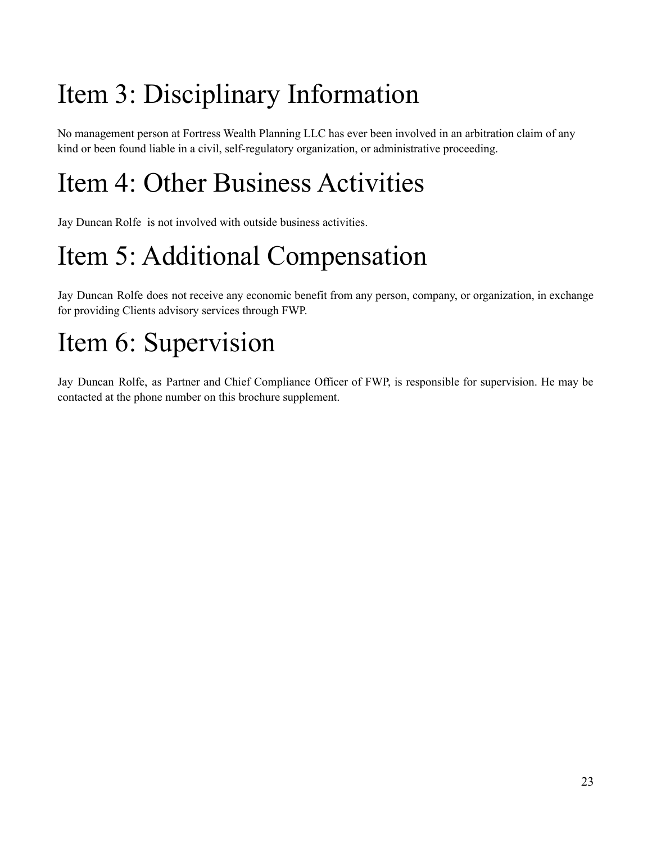# Item 3: Disciplinary Information

No management person at Fortress Wealth Planning LLC has ever been involved in an arbitration claim of any kind or been found liable in a civil, self-regulatory organization, or administrative proceeding.

# Item 4: Other Business Activities

Jay Duncan Rolfe is not involved with outside business activities.

# Item 5: Additional Compensation

Jay Duncan Rolfe does not receive any economic benefit from any person, company, or organization, in exchange for providing Clients advisory services through FWP.

# Item 6: Supervision

Jay Duncan Rolfe, as Partner and Chief Compliance Officer of FWP, is responsible for supervision. He may be contacted at the phone number on this brochure supplement.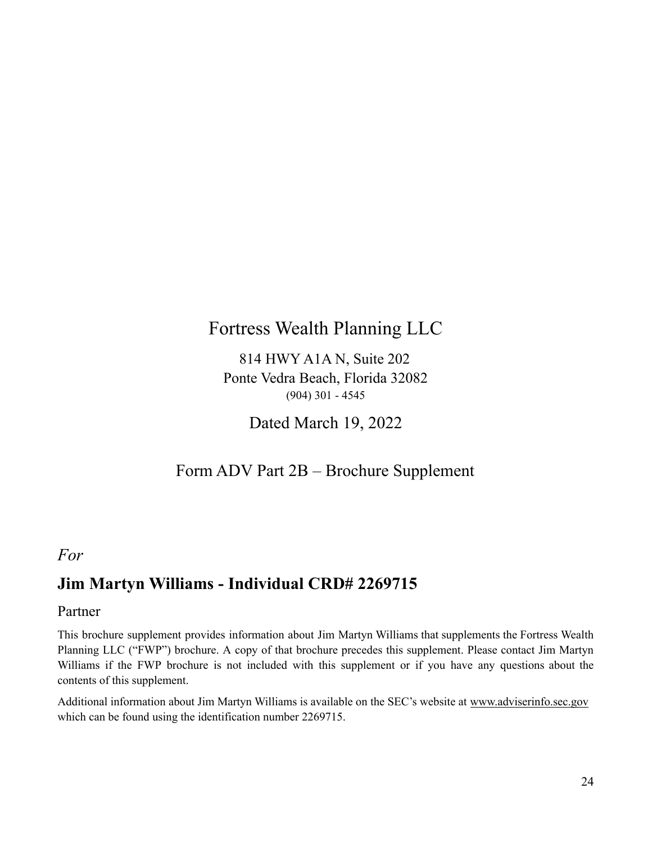## Fortress Wealth Planning LLC

814 HWY A1A N, Suite 202 Ponte Vedra Beach, Florida 32082 (904) 301 - 4545

Dated March 19, 2022

### Form ADV Part 2B – Brochure Supplement

### <span id="page-23-0"></span>*For*

## **Jim Martyn Williams - Individual CRD# 2269715**

### Partner

This brochure supplement provides information about Jim Martyn Williams that supplements the Fortress Wealth Planning LLC ("FWP") brochure. A copy of that brochure precedes this supplement. Please contact Jim Martyn Williams if the FWP brochure is not included with this supplement or if you have any questions about the contents of this supplement.

Additional information about Jim Martyn Williams is available on the SEC's website at [www.adviserinfo.sec.gov](http://www.adviserinfo.sec.gov) which can be found using the identification number 2269715.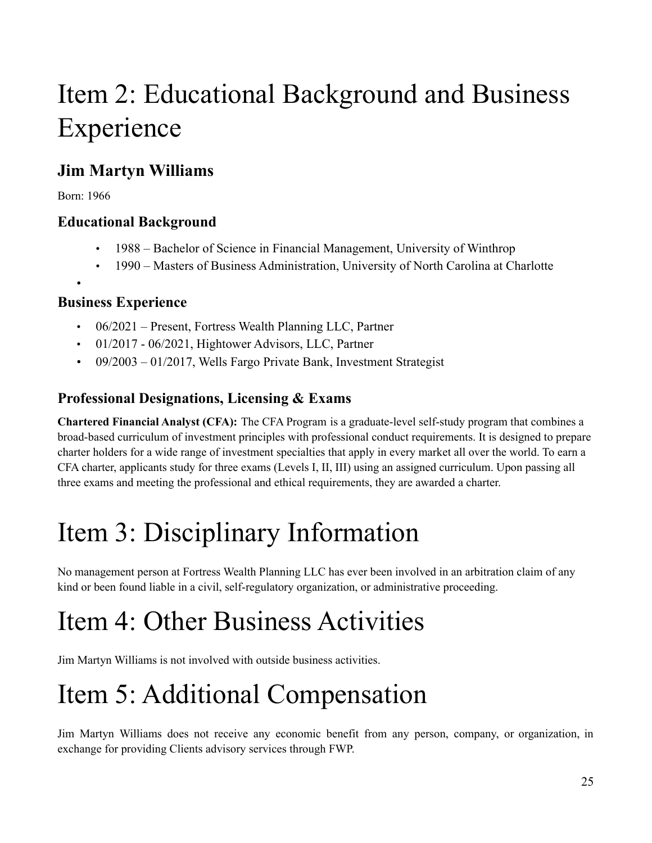# Item 2: Educational Background and Business Experience

## **Jim Martyn Williams**

Born: 1966

•

### **Educational Background**

- 1988 Bachelor of Science in Financial Management, University of Winthrop
- 1990 Masters of Business Administration, University of North Carolina at Charlotte

### **Business Experience**

- 06/2021 Present, Fortress Wealth Planning LLC, Partner
- 01/2017 06/2021, Hightower Advisors, LLC, Partner
- 09/2003 01/2017, Wells Fargo Private Bank, Investment Strategist

### **Professional Designations, Licensing & Exams**

**Chartered Financial Analyst (CFA):** The CFA Program is a graduate-level self-study program that combines a broad-based curriculum of investment principles with professional conduct requirements. It is designed to prepare charter holders for a wide range of investment specialties that apply in every market all over the world. To earn a CFA charter, applicants study for three exams (Levels I, II, III) using an assigned curriculum. Upon passing all three exams and meeting the professional and ethical requirements, they are awarded a charter.

# Item 3: Disciplinary Information

No management person at Fortress Wealth Planning LLC has ever been involved in an arbitration claim of any kind or been found liable in a civil, self-regulatory organization, or administrative proceeding.

# Item 4: Other Business Activities

Jim Martyn Williams is not involved with outside business activities.

# Item 5: Additional Compensation

Jim Martyn Williams does not receive any economic benefit from any person, company, or organization, in exchange for providing Clients advisory services through FWP.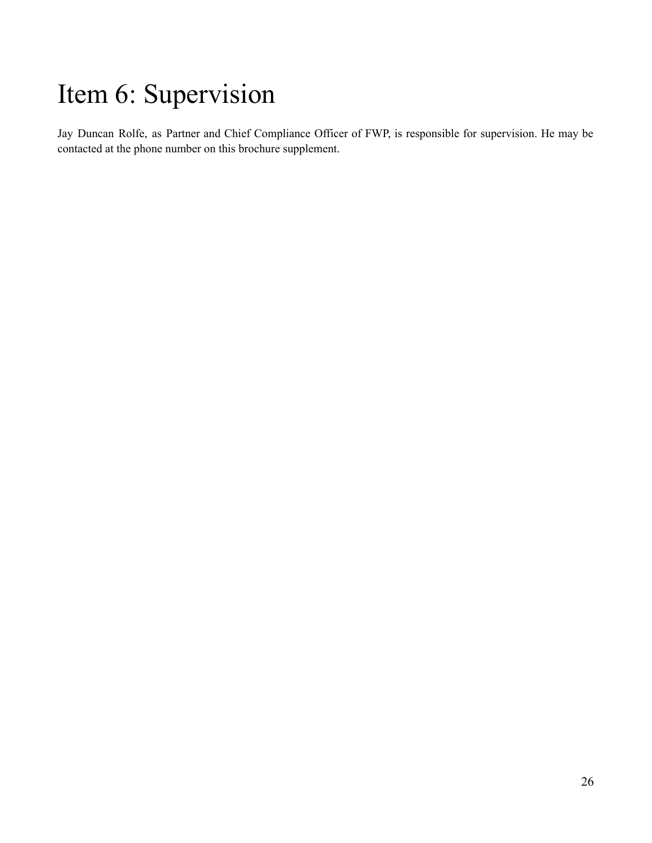## Item 6: Supervision

Jay Duncan Rolfe, as Partner and Chief Compliance Officer of FWP, is responsible for supervision. He may be contacted at the phone number on this brochure supplement.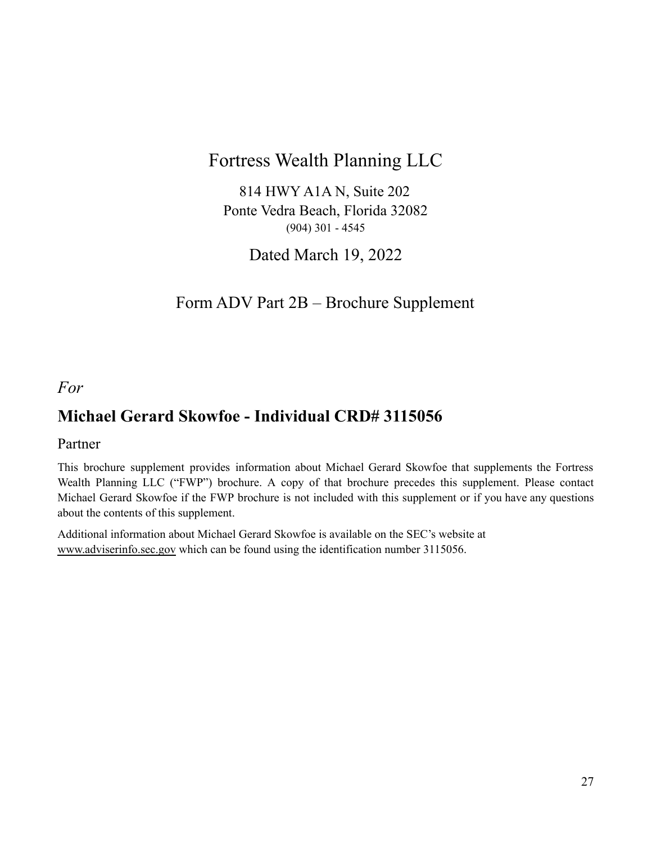## Fortress Wealth Planning LLC

814 HWY A1A N, Suite 202 Ponte Vedra Beach, Florida 32082 (904) 301 - 4545

Dated March 19, 2022

## Form ADV Part 2B – Brochure Supplement

<span id="page-26-0"></span>*For*

## **Michael Gerard Skowfoe - Individual CRD# 3115056**

### Partner

This brochure supplement provides information about Michael Gerard Skowfoe that supplements the Fortress Wealth Planning LLC ("FWP") brochure. A copy of that brochure precedes this supplement. Please contact Michael Gerard Skowfoe if the FWP brochure is not included with this supplement or if you have any questions about the contents of this supplement.

Additional information about Michael Gerard Skowfoe is available on the SEC's website at [www.adviserinfo.sec.gov](http://www.adviserinfo.sec.gov) which can be found using the identification number 3115056.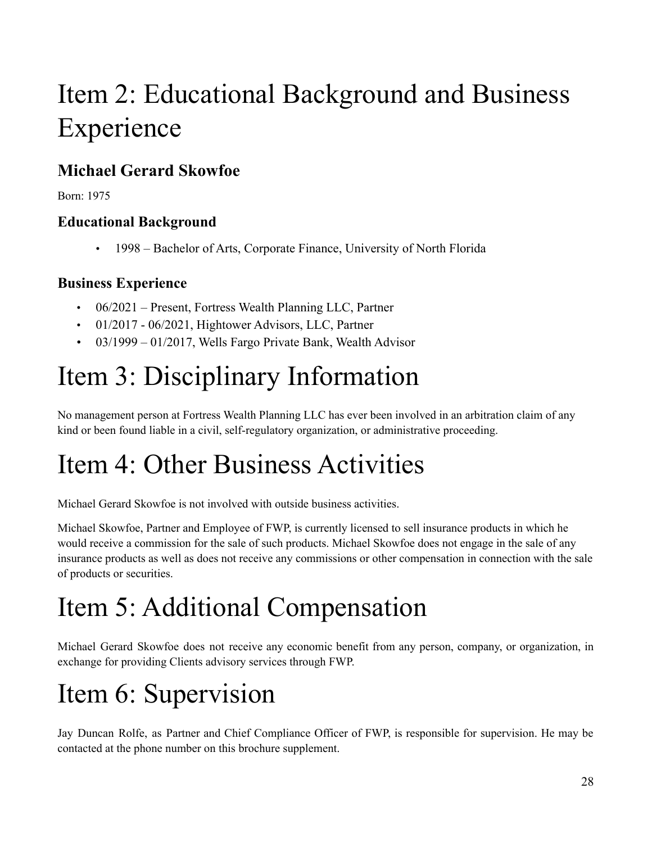# Item 2: Educational Background and Business Experience

## **Michael Gerard Skowfoe**

Born: 1975

### **Educational Background**

• 1998 – Bachelor of Arts, Corporate Finance, University of North Florida

### **Business Experience**

- 06/2021 Present, Fortress Wealth Planning LLC, Partner
- 01/2017 06/2021, Hightower Advisors, LLC, Partner
- 03/1999 01/2017, Wells Fargo Private Bank, Wealth Advisor

# Item 3: Disciplinary Information

No management person at Fortress Wealth Planning LLC has ever been involved in an arbitration claim of any kind or been found liable in a civil, self-regulatory organization, or administrative proceeding.

# Item 4: Other Business Activities

Michael Gerard Skowfoe is not involved with outside business activities.

Michael Skowfoe, Partner and Employee of FWP, is currently licensed to sell insurance products in which he would receive a commission for the sale of such products. Michael Skowfoe does not engage in the sale of any insurance products as well as does not receive any commissions or other compensation in connection with the sale of products or securities.

# Item 5: Additional Compensation

Michael Gerard Skowfoe does not receive any economic benefit from any person, company, or organization, in exchange for providing Clients advisory services through FWP.

# Item 6: Supervision

Jay Duncan Rolfe, as Partner and Chief Compliance Officer of FWP, is responsible for supervision. He may be contacted at the phone number on this brochure supplement.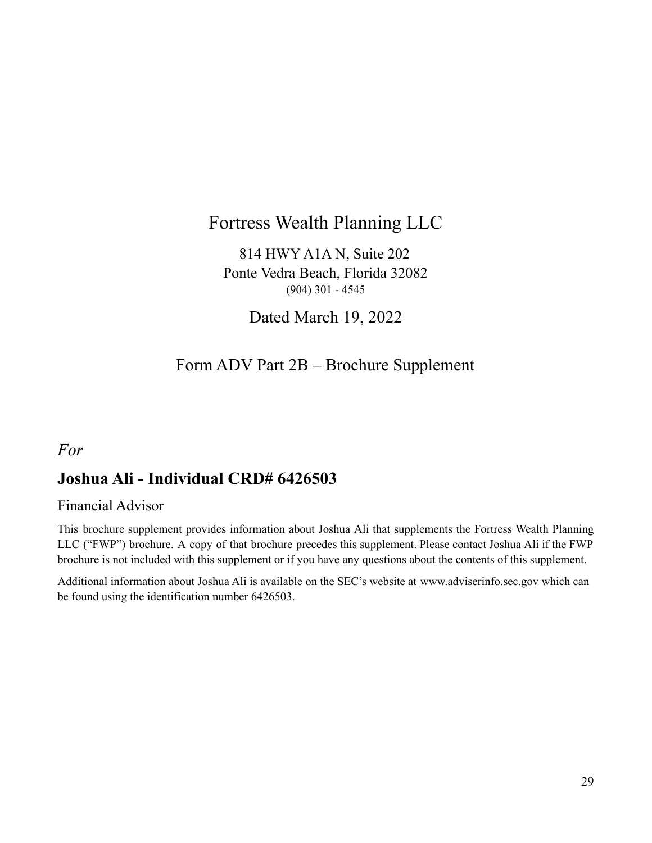## Fortress Wealth Planning LLC

814 HWY A1A N, Suite 202 Ponte Vedra Beach, Florida 32082 (904) 301 - 4545

Dated March 19, 2022

## Form ADV Part 2B – Brochure Supplement

### <span id="page-28-0"></span>*For*

## **Joshua Ali - Individual CRD# 6426503**

### Financial Advisor

This brochure supplement provides information about Joshua Ali that supplements the Fortress Wealth Planning LLC ("FWP") brochure. A copy of that brochure precedes this supplement. Please contact Joshua Ali if the FWP brochure is not included with this supplement or if you have any questions about the contents of this supplement.

Additional information about Joshua Ali is available on the SEC's website at [www.adviserinfo.sec.gov](http://www.adviserinfo.sec.gov) which can be found using the identification number 6426503.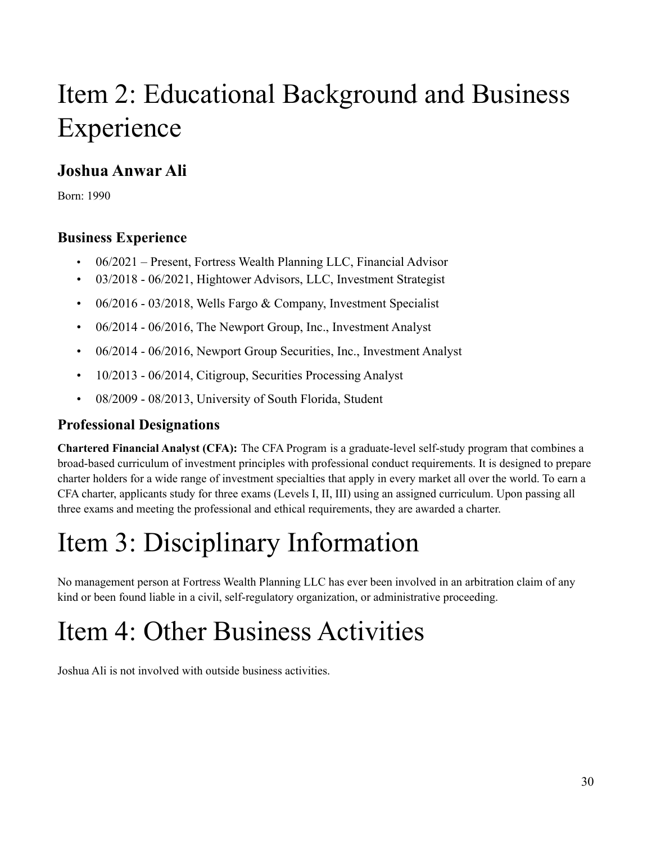# Item 2: Educational Background and Business Experience

## **Joshua Anwar Ali**

Born: 1990

### **Business Experience**

- 06/2021 Present, Fortress Wealth Planning LLC, Financial Advisor
- 03/2018 06/2021, Hightower Advisors, LLC, Investment Strategist
- 06/2016 03/2018, Wells Fargo & Company, Investment Specialist
- 06/2014 06/2016, The Newport Group, Inc., Investment Analyst
- 06/2014 06/2016, Newport Group Securities, Inc., Investment Analyst
- 10/2013 06/2014, Citigroup, Securities Processing Analyst
- 08/2009 08/2013, University of South Florida, Student

### **Professional Designations**

**Chartered Financial Analyst (CFA):** The CFA Program is a graduate-level self-study program that combines a broad-based curriculum of investment principles with professional conduct requirements. It is designed to prepare charter holders for a wide range of investment specialties that apply in every market all over the world. To earn a CFA charter, applicants study for three exams (Levels I, II, III) using an assigned curriculum. Upon passing all three exams and meeting the professional and ethical requirements, they are awarded a charter.

# Item 3: Disciplinary Information

No management person at Fortress Wealth Planning LLC has ever been involved in an arbitration claim of any kind or been found liable in a civil, self-regulatory organization, or administrative proceeding.

# Item 4: Other Business Activities

Joshua Ali is not involved with outside business activities.